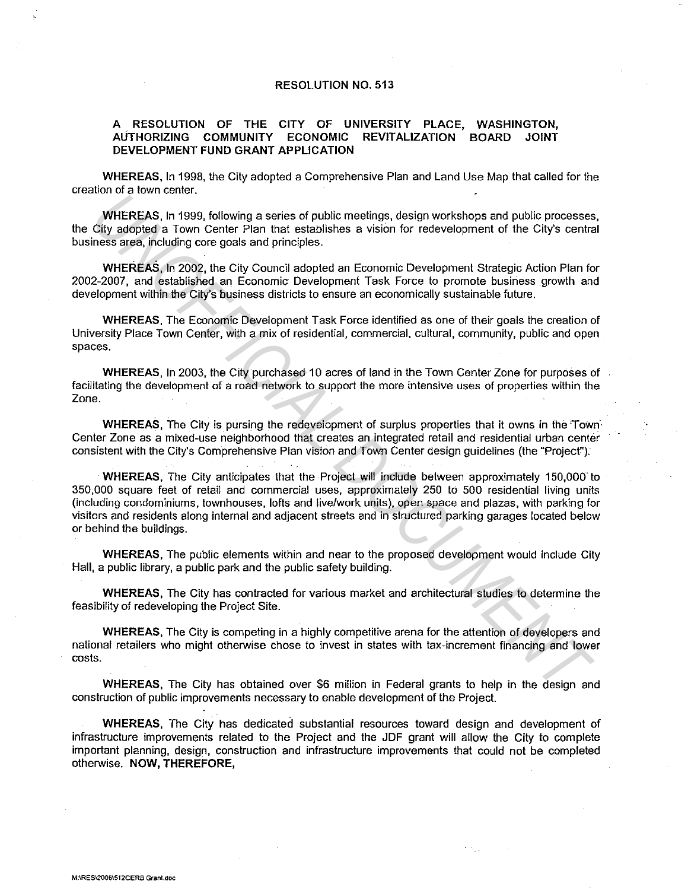## RESOLUTION NO. 513

## A RESOLUTION OF THE CITY OF UNIVERSITY PLACE, WASHINGTON, AUTHORIZING COMMUNITY ECONOMIC REVITALIZATION BOARD JOINT DEVELOPMENT FUND GRANT APPLICATION

WHEREAS, In 1998, the City adopted a Comprehensive Plan and Land Use Map that called for the creation of a town center.

WHEREAS, In 1999, following a series of public meetings, design workshops and public processes, the City adopted a Town Center Plan that establishes a vision for redevelopment of the City's central business area, including core goals and principles.

WHEREAS, In 2002, the City Council adopted an Economic Development Strategic Action Plan for 2002-2007, and established an Economic Development Task Force to promote business growth and development within the City's business districts to ensure an economically sustainable future.

WHEREAS, The Economic Development Task Force identified as one of their goals the creation of University Place Town Center, with a mix of residential, commercial, cultural, community, public and open spaces.

WHEREAS, In 2003, the City purchased 10 acres of land in the Town Center Zone for purposes of facilitating the development of a road network to support the more intensive uses of properties within the Zone.

WHEREAS. The City is pursing the redevelopment of surplus properties that it owns in the Town-Center Zone as a mixed-use neighborhood that creates an integrated retail and residential urban center consistent with the City's Comprehensive Plan vision and Town Center design guidelines {the "Projecf').

WHEREAS, The City anticipates that the Project will include between approximately 150,000 to 350,000 square feet of retail and commercial uses, approximately 250 to 500 residential living units {including condominiums, townhouses, lofts and live/work units), open space and plazas, with parking for visitors and residents along internal and adjacent streets and in structured parking garages located below or behind the buildings. **UNIEREAS.** In 1999, following a series of public meetings, design workshops and public processes<br>City adopted a Town Center Plan hat establishes a vision for retevelopment of the City's center<br>City adopted a Town Center P

WHEREAS, The public elements within and near to the proposed development would include City Hall, a public library, a public park and the public safety building.

WHEREAS, The City has contracted for various market and architectural studies to determine the feasibility of redeveloping the Project Site.

WHEREAS, The City is competing in a highly competitive arena for the attention of developers and national retailers who might otherwise chose to invest in states with tax-increment financing and lower costs.

WHEREAS, The City has obtained over \$6 million in Federal grants to help in the design and construction of public improvements necessary to enable development of the Project.

WHEREAS, The City has dedicated substantial resources toward design and development of infrastructure improvements related to the Project and the JDF grant will allow the City to complete important planning, design, construction and infrastructure improvements that could not be completed otherwise. NOW, THEREFORE,